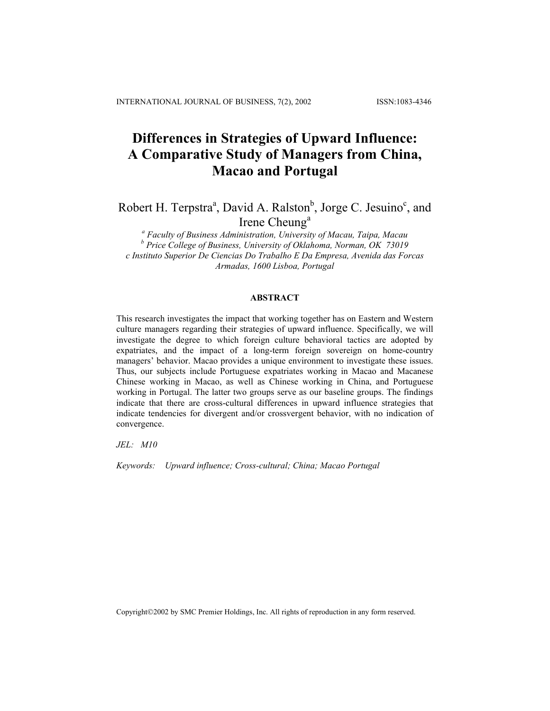# **Differences in Strategies of Upward Influence: A Comparative Study of Managers from China, Macao and Portugal**

Robert H. Terpstra<sup>a</sup>, David A. Ralston<sup>b</sup>, Jorge C. Jesuino<sup>c</sup>, and Irene Cheung<sup>a</sup>

*a Faculty of Business Administration, University of Macau, Taipa, Macau b Price College of Business, University of Oklahoma, Norman, OK 73019 c Instituto Superior De Ciencias Do Trabalho E Da Empresa, Avenida das Forcas Armadas, 1600 Lisboa, Portugal*

## **ABSTRACT**

This research investigates the impact that working together has on Eastern and Western culture managers regarding their strategies of upward influence. Specifically, we will investigate the degree to which foreign culture behavioral tactics are adopted by expatriates, and the impact of a long-term foreign sovereign on home-country managers' behavior. Macao provides a unique environment to investigate these issues. Thus, our subjects include Portuguese expatriates working in Macao and Macanese Chinese working in Macao, as well as Chinese working in China, and Portuguese working in Portugal. The latter two groups serve as our baseline groups. The findings indicate that there are cross-cultural differences in upward influence strategies that indicate tendencies for divergent and/or crossvergent behavior, with no indication of convergence.

*JEL: M10* 

*Keywords: Upward influence; Cross-cultural; China; Macao Portugal* 

Copyright©2002 by SMC Premier Holdings, Inc. All rights of reproduction in any form reserved.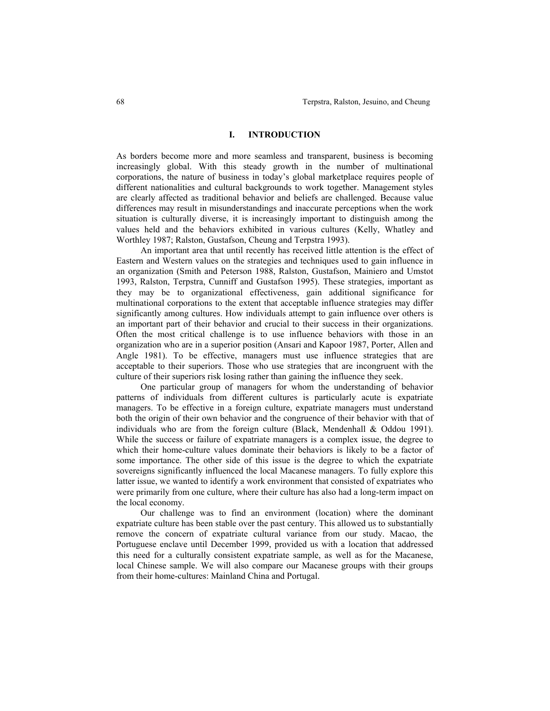#### **I. INTRODUCTION**

As borders become more and more seamless and transparent, business is becoming increasingly global. With this steady growth in the number of multinational corporations, the nature of business in today's global marketplace requires people of different nationalities and cultural backgrounds to work together. Management styles are clearly affected as traditional behavior and beliefs are challenged. Because value differences may result in misunderstandings and inaccurate perceptions when the work situation is culturally diverse, it is increasingly important to distinguish among the values held and the behaviors exhibited in various cultures (Kelly, Whatley and Worthley 1987; Ralston, Gustafson, Cheung and Terpstra 1993).

 An important area that until recently has received little attention is the effect of Eastern and Western values on the strategies and techniques used to gain influence in an organization (Smith and Peterson 1988, Ralston, Gustafson, Mainiero and Umstot 1993, Ralston, Terpstra, Cunniff and Gustafson 1995). These strategies, important as they may be to organizational effectiveness, gain additional significance for multinational corporations to the extent that acceptable influence strategies may differ significantly among cultures. How individuals attempt to gain influence over others is an important part of their behavior and crucial to their success in their organizations. Often the most critical challenge is to use influence behaviors with those in an organization who are in a superior position (Ansari and Kapoor 1987, Porter, Allen and Angle 1981). To be effective, managers must use influence strategies that are acceptable to their superiors. Those who use strategies that are incongruent with the culture of their superiors risk losing rather than gaining the influence they seek.

 One particular group of managers for whom the understanding of behavior patterns of individuals from different cultures is particularly acute is expatriate managers. To be effective in a foreign culture, expatriate managers must understand both the origin of their own behavior and the congruence of their behavior with that of individuals who are from the foreign culture (Black, Mendenhall & Oddou 1991). While the success or failure of expatriate managers is a complex issue, the degree to which their home-culture values dominate their behaviors is likely to be a factor of some importance. The other side of this issue is the degree to which the expatriate sovereigns significantly influenced the local Macanese managers. To fully explore this latter issue, we wanted to identify a work environment that consisted of expatriates who were primarily from one culture, where their culture has also had a long-term impact on the local economy.

 Our challenge was to find an environment (location) where the dominant expatriate culture has been stable over the past century. This allowed us to substantially remove the concern of expatriate cultural variance from our study. Macao, the Portuguese enclave until December 1999, provided us with a location that addressed this need for a culturally consistent expatriate sample, as well as for the Macanese, local Chinese sample. We will also compare our Macanese groups with their groups from their home-cultures: Mainland China and Portugal.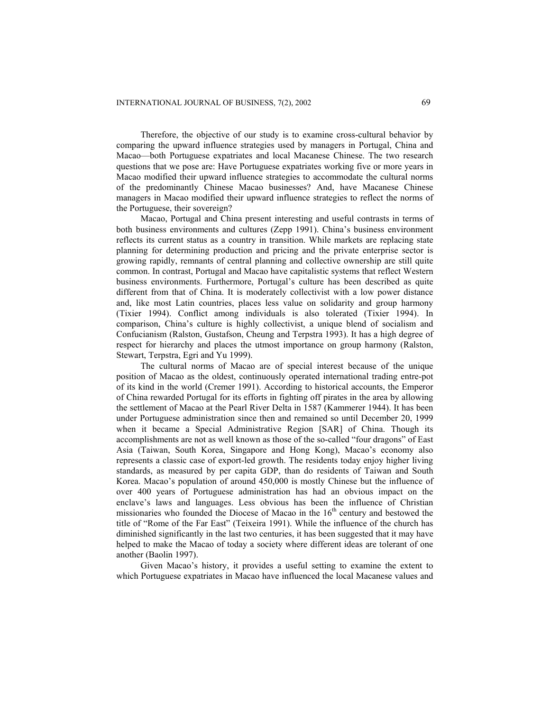Therefore, the objective of our study is to examine cross-cultural behavior by comparing the upward influence strategies used by managers in Portugal, China and Macao—both Portuguese expatriates and local Macanese Chinese. The two research questions that we pose are: Have Portuguese expatriates working five or more years in Macao modified their upward influence strategies to accommodate the cultural norms of the predominantly Chinese Macao businesses? And, have Macanese Chinese managers in Macao modified their upward influence strategies to reflect the norms of the Portuguese, their sovereign?

Macao, Portugal and China present interesting and useful contrasts in terms of both business environments and cultures (Zepp 1991). China's business environment reflects its current status as a country in transition. While markets are replacing state planning for determining production and pricing and the private enterprise sector is growing rapidly, remnants of central planning and collective ownership are still quite common. In contrast, Portugal and Macao have capitalistic systems that reflect Western business environments. Furthermore, Portugal's culture has been described as quite different from that of China. It is moderately collectivist with a low power distance and, like most Latin countries, places less value on solidarity and group harmony (Tixier 1994). Conflict among individuals is also tolerated (Tixier 1994). In comparison, China's culture is highly collectivist, a unique blend of socialism and Confucianism (Ralston, Gustafson, Cheung and Terpstra 1993). It has a high degree of respect for hierarchy and places the utmost importance on group harmony (Ralston, Stewart, Terpstra, Egri and Yu 1999).

The cultural norms of Macao are of special interest because of the unique position of Macao as the oldest, continuously operated international trading entre-pot of its kind in the world (Cremer 1991). According to historical accounts, the Emperor of China rewarded Portugal for its efforts in fighting off pirates in the area by allowing the settlement of Macao at the Pearl River Delta in 1587 (Kammerer 1944). It has been under Portuguese administration since then and remained so until December 20, 1999 when it became a Special Administrative Region [SAR] of China. Though its accomplishments are not as well known as those of the so-called "four dragons" of East Asia (Taiwan, South Korea, Singapore and Hong Kong), Macao's economy also represents a classic case of export-led growth. The residents today enjoy higher living standards, as measured by per capita GDP, than do residents of Taiwan and South Korea. Macao's population of around 450,000 is mostly Chinese but the influence of over 400 years of Portuguese administration has had an obvious impact on the enclave's laws and languages. Less obvious has been the influence of Christian missionaries who founded the Diocese of Macao in the  $16<sup>th</sup>$  century and bestowed the title of "Rome of the Far East" (Teixeira 1991). While the influence of the church has diminished significantly in the last two centuries, it has been suggested that it may have helped to make the Macao of today a society where different ideas are tolerant of one another (Baolin 1997).

Given Macao's history, it provides a useful setting to examine the extent to which Portuguese expatriates in Macao have influenced the local Macanese values and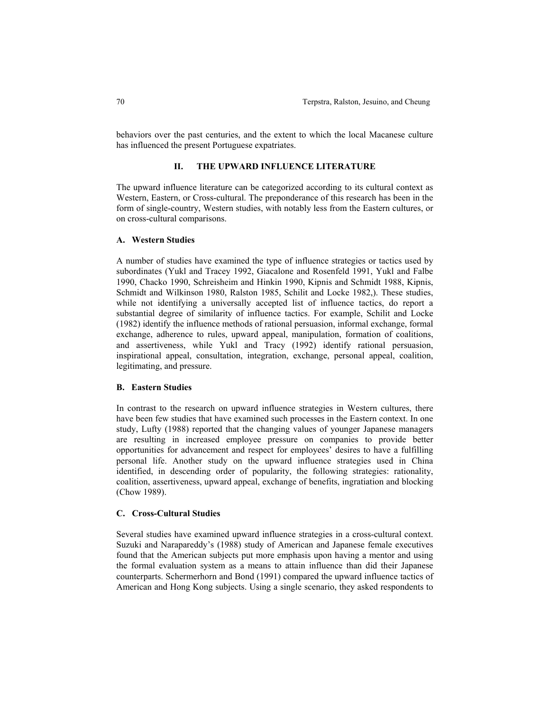behaviors over the past centuries, and the extent to which the local Macanese culture has influenced the present Portuguese expatriates.

## **II. THE UPWARD INFLUENCE LITERATURE**

The upward influence literature can be categorized according to its cultural context as Western, Eastern, or Cross-cultural. The preponderance of this research has been in the form of single-country, Western studies, with notably less from the Eastern cultures, or on cross-cultural comparisons.

## **A. Western Studies**

A number of studies have examined the type of influence strategies or tactics used by subordinates (Yukl and Tracey 1992, Giacalone and Rosenfeld 1991, Yukl and Falbe 1990, Chacko 1990, Schreisheim and Hinkin 1990, Kipnis and Schmidt 1988, Kipnis, Schmidt and Wilkinson 1980, Ralston 1985, Schilit and Locke 1982,). These studies, while not identifying a universally accepted list of influence tactics, do report a substantial degree of similarity of influence tactics. For example, Schilit and Locke (1982) identify the influence methods of rational persuasion, informal exchange, formal exchange, adherence to rules, upward appeal, manipulation, formation of coalitions, and assertiveness, while Yukl and Tracy (1992) identify rational persuasion, inspirational appeal, consultation, integration, exchange, personal appeal, coalition, legitimating, and pressure.

## **B. Eastern Studies**

In contrast to the research on upward influence strategies in Western cultures, there have been few studies that have examined such processes in the Eastern context. In one study, Lufty (1988) reported that the changing values of younger Japanese managers are resulting in increased employee pressure on companies to provide better opportunities for advancement and respect for employees' desires to have a fulfilling personal life. Another study on the upward influence strategies used in China identified, in descending order of popularity, the following strategies: rationality, coalition, assertiveness, upward appeal, exchange of benefits, ingratiation and blocking (Chow 1989).

#### **C. Cross-Cultural Studies**

Several studies have examined upward influence strategies in a cross-cultural context. Suzuki and Narapareddy's (1988) study of American and Japanese female executives found that the American subjects put more emphasis upon having a mentor and using the formal evaluation system as a means to attain influence than did their Japanese counterparts. Schermerhorn and Bond (1991) compared the upward influence tactics of American and Hong Kong subjects. Using a single scenario, they asked respondents to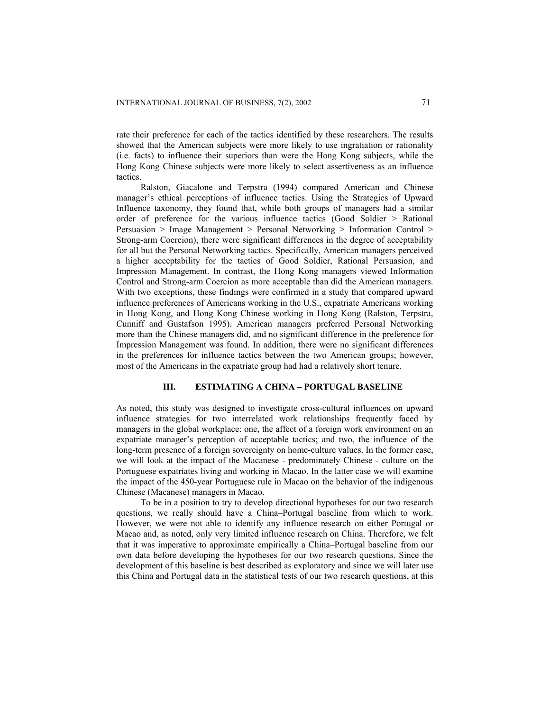rate their preference for each of the tactics identified by these researchers. The results showed that the American subjects were more likely to use ingratiation or rationality (i.e. facts) to influence their superiors than were the Hong Kong subjects, while the Hong Kong Chinese subjects were more likely to select assertiveness as an influence tactics.

Ralston, Giacalone and Terpstra (1994) compared American and Chinese manager's ethical perceptions of influence tactics. Using the Strategies of Upward Influence taxonomy, they found that, while both groups of managers had a similar order of preference for the various influence tactics (Good Soldier > Rational Persuasion > Image Management > Personal Networking > Information Control > Strong-arm Coercion), there were significant differences in the degree of acceptability for all but the Personal Networking tactics. Specifically, American managers perceived a higher acceptability for the tactics of Good Soldier, Rational Persuasion, and Impression Management. In contrast, the Hong Kong managers viewed Information Control and Strong-arm Coercion as more acceptable than did the American managers. With two exceptions, these findings were confirmed in a study that compared upward influence preferences of Americans working in the U.S., expatriate Americans working in Hong Kong, and Hong Kong Chinese working in Hong Kong (Ralston, Terpstra, Cunniff and Gustafson 1995). American managers preferred Personal Networking more than the Chinese managers did, and no significant difference in the preference for Impression Management was found. In addition, there were no significant differences in the preferences for influence tactics between the two American groups; however, most of the Americans in the expatriate group had had a relatively short tenure.

# **III. ESTIMATING A CHINA – PORTUGAL BASELINE**

As noted, this study was designed to investigate cross-cultural influences on upward influence strategies for two interrelated work relationships frequently faced by managers in the global workplace: one, the affect of a foreign work environment on an expatriate manager's perception of acceptable tactics; and two, the influence of the long-term presence of a foreign sovereignty on home-culture values. In the former case, we will look at the impact of the Macanese - predominately Chinese - culture on the Portuguese expatriates living and working in Macao. In the latter case we will examine the impact of the 450-year Portuguese rule in Macao on the behavior of the indigenous Chinese (Macanese) managers in Macao.

To be in a position to try to develop directional hypotheses for our two research questions, we really should have a China–Portugal baseline from which to work. However, we were not able to identify any influence research on either Portugal or Macao and, as noted, only very limited influence research on China. Therefore, we felt that it was imperative to approximate empirically a China–Portugal baseline from our own data before developing the hypotheses for our two research questions. Since the development of this baseline is best described as exploratory and since we will later use this China and Portugal data in the statistical tests of our two research questions, at this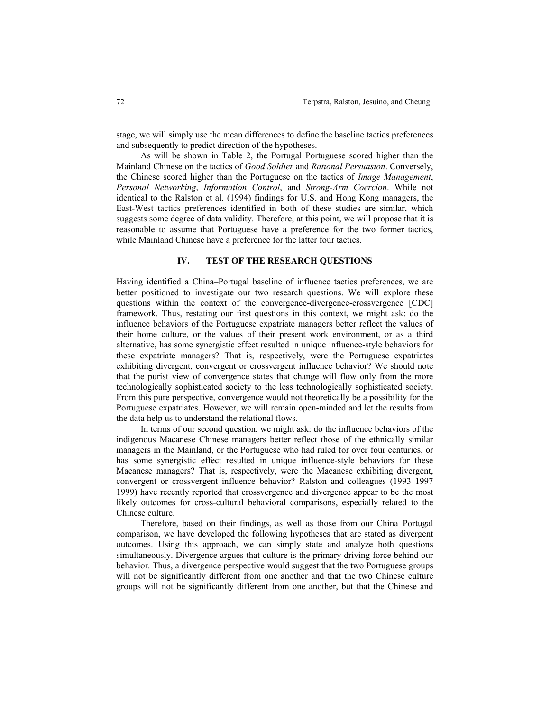stage, we will simply use the mean differences to define the baseline tactics preferences and subsequently to predict direction of the hypotheses.

 As will be shown in Table 2, the Portugal Portuguese scored higher than the Mainland Chinese on the tactics of *Good Soldier* and *Rational Persuasion*. Conversely, the Chinese scored higher than the Portuguese on the tactics of *Image Management*, *Personal Networking*, *Information Control*, and *Strong-Arm Coercion*. While not identical to the Ralston et al. (1994) findings for U.S. and Hong Kong managers, the East-West tactics preferences identified in both of these studies are similar, which suggests some degree of data validity. Therefore, at this point, we will propose that it is reasonable to assume that Portuguese have a preference for the two former tactics, while Mainland Chinese have a preference for the latter four tactics.

## **IV. TEST OF THE RESEARCH QUESTIONS**

Having identified a China–Portugal baseline of influence tactics preferences, we are better positioned to investigate our two research questions. We will explore these questions within the context of the convergence-divergence-crossvergence [CDC] framework. Thus, restating our first questions in this context, we might ask: do the influence behaviors of the Portuguese expatriate managers better reflect the values of their home culture, or the values of their present work environment, or as a third alternative, has some synergistic effect resulted in unique influence-style behaviors for these expatriate managers? That is, respectively, were the Portuguese expatriates exhibiting divergent, convergent or crossvergent influence behavior? We should note that the purist view of convergence states that change will flow only from the more technologically sophisticated society to the less technologically sophisticated society. From this pure perspective, convergence would not theoretically be a possibility for the Portuguese expatriates. However, we will remain open-minded and let the results from the data help us to understand the relational flows.

 In terms of our second question, we might ask: do the influence behaviors of the indigenous Macanese Chinese managers better reflect those of the ethnically similar managers in the Mainland, or the Portuguese who had ruled for over four centuries, or has some synergistic effect resulted in unique influence-style behaviors for these Macanese managers? That is, respectively, were the Macanese exhibiting divergent, convergent or crossvergent influence behavior? Ralston and colleagues (1993 1997 1999) have recently reported that crossvergence and divergence appear to be the most likely outcomes for cross-cultural behavioral comparisons, especially related to the Chinese culture.

 Therefore, based on their findings, as well as those from our China–Portugal comparison, we have developed the following hypotheses that are stated as divergent outcomes. Using this approach, we can simply state and analyze both questions simultaneously. Divergence argues that culture is the primary driving force behind our behavior. Thus, a divergence perspective would suggest that the two Portuguese groups will not be significantly different from one another and that the two Chinese culture groups will not be significantly different from one another, but that the Chinese and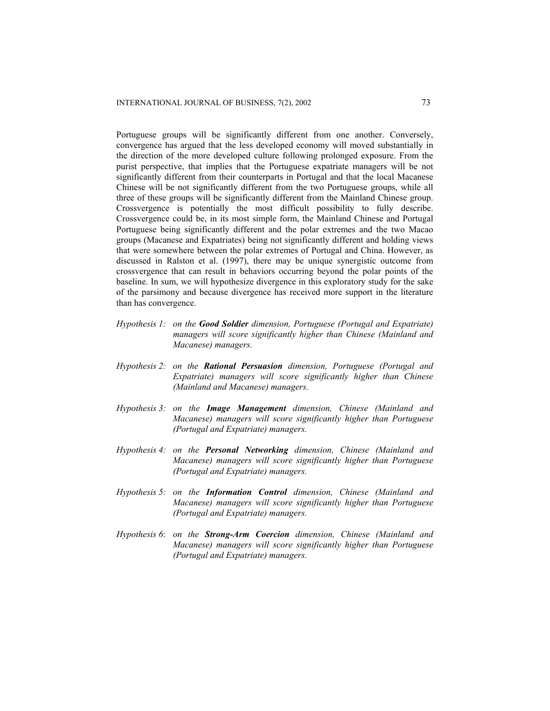Portuguese groups will be significantly different from one another. Conversely, convergence has argued that the less developed economy will moved substantially in the direction of the more developed culture following prolonged exposure. From the purist perspective, that implies that the Portuguese expatriate managers will be not significantly different from their counterparts in Portugal and that the local Macanese Chinese will be not significantly different from the two Portuguese groups, while all three of these groups will be significantly different from the Mainland Chinese group. Crossvergence is potentially the most difficult possibility to fully describe. Crossvergence could be, in its most simple form, the Mainland Chinese and Portugal Portuguese being significantly different and the polar extremes and the two Macao groups (Macanese and Expatriates) being not significantly different and holding views that were somewhere between the polar extremes of Portugal and China. However, as discussed in Ralston et al. (1997), there may be unique synergistic outcome from crossvergence that can result in behaviors occurring beyond the polar points of the baseline. In sum, we will hypothesize divergence in this exploratory study for the sake of the parsimony and because divergence has received more support in the literature than has convergence.

- *Hypothesis 1: on the Good Soldier dimension, Portuguese (Portugal and Expatriate) managers will score significantly higher than Chinese (Mainland and Macanese) managers.*
- *Hypothesis 2: on the Rational Persuasion dimension, Portuguese (Portugal and Expatriate) managers will score significantly higher than Chinese (Mainland and Macanese) managers.*
- *Hypothesis 3: on the Image Management dimension, Chinese (Mainland and Macanese) managers will score significantly higher than Portuguese (Portugal and Expatriate) managers.*
- *Hypothesis 4: on the Personal Networking dimension, Chinese (Mainland and Macanese) managers will score significantly higher than Portuguese (Portugal and Expatriate) managers.*
- *Hypothesis 5: on the Information Control dimension, Chinese (Mainland and Macanese) managers will score significantly higher than Portuguese (Portugal and Expatriate) managers.*
- *Hypothesis 6*: *on the Strong-Arm Coercion dimension, Chinese (Mainland and Macanese) managers will score significantly higher than Portuguese (Portugal and Expatriate) managers.*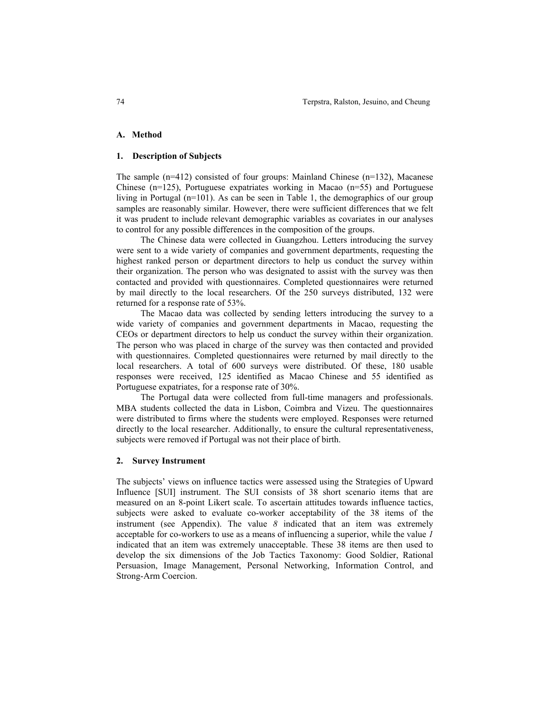## **A. Method**

#### **1. Description of Subjects**

The sample (n=412) consisted of four groups: Mainland Chinese (n=132), Macanese Chinese (n=125), Portuguese expatriates working in Macao (n=55) and Portuguese living in Portugal (n=101). As can be seen in Table 1, the demographics of our group samples are reasonably similar. However, there were sufficient differences that we felt it was prudent to include relevant demographic variables as covariates in our analyses to control for any possible differences in the composition of the groups.

 The Chinese data were collected in Guangzhou. Letters introducing the survey were sent to a wide variety of companies and government departments, requesting the highest ranked person or department directors to help us conduct the survey within their organization. The person who was designated to assist with the survey was then contacted and provided with questionnaires. Completed questionnaires were returned by mail directly to the local researchers. Of the 250 surveys distributed, 132 were returned for a response rate of 53%.

 The Macao data was collected by sending letters introducing the survey to a wide variety of companies and government departments in Macao, requesting the CEOs or department directors to help us conduct the survey within their organization. The person who was placed in charge of the survey was then contacted and provided with questionnaires. Completed questionnaires were returned by mail directly to the local researchers. A total of 600 surveys were distributed. Of these, 180 usable responses were received, 125 identified as Macao Chinese and 55 identified as Portuguese expatriates, for a response rate of 30%.

 The Portugal data were collected from full-time managers and professionals. MBA students collected the data in Lisbon, Coimbra and Vizeu. The questionnaires were distributed to firms where the students were employed. Responses were returned directly to the local researcher. Additionally, to ensure the cultural representativeness, subjects were removed if Portugal was not their place of birth.

#### **2. Survey Instrument**

The subjects' views on influence tactics were assessed using the Strategies of Upward Influence [SUI] instrument. The SUI consists of 38 short scenario items that are measured on an 8-point Likert scale. To ascertain attitudes towards influence tactics, subjects were asked to evaluate co-worker acceptability of the 38 items of the instrument (see Appendix). The value *8* indicated that an item was extremely acceptable for co-workers to use as a means of influencing a superior, while the value *1* indicated that an item was extremely unacceptable. These 38 items are then used to develop the six dimensions of the Job Tactics Taxonomy: Good Soldier, Rational Persuasion, Image Management, Personal Networking, Information Control, and Strong-Arm Coercion.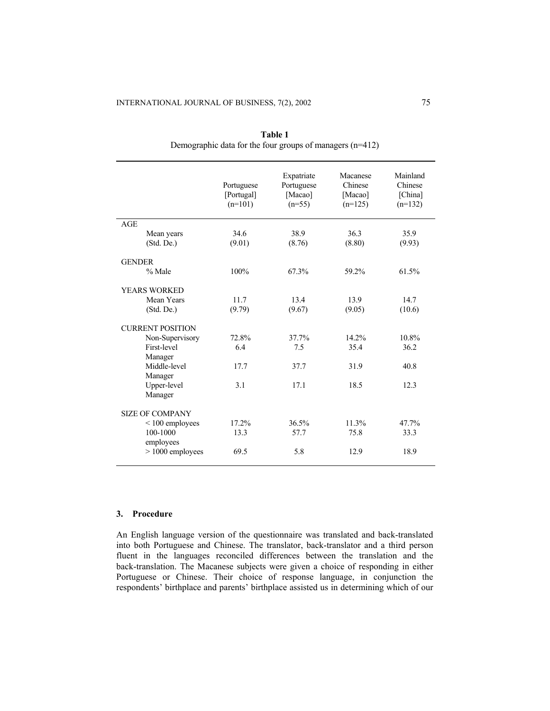|                        |                         | Portuguese<br>[Portugal]<br>$(n=101)$ | Expatriate<br>Portuguese<br>[Macao]<br>$(n=55)$ | Macanese<br>Chinese<br>[Macao]<br>$(n=125)$ | Mainland<br>Chinese<br>[China]<br>$(n=132)$ |  |  |
|------------------------|-------------------------|---------------------------------------|-------------------------------------------------|---------------------------------------------|---------------------------------------------|--|--|
| AGE                    |                         |                                       |                                                 |                                             |                                             |  |  |
|                        | Mean years              | 34.6                                  | 38.9                                            | 36.3                                        | 35.9                                        |  |  |
|                        | (Std. De.)              | (9.01)                                | (8.76)                                          | (8.80)                                      | (9.93)                                      |  |  |
| <b>GENDER</b>          |                         |                                       |                                                 |                                             |                                             |  |  |
|                        | % Male                  | 100%                                  | 67.3%                                           | 59.2%                                       | 61.5%                                       |  |  |
|                        | <b>YEARS WORKED</b>     |                                       |                                                 |                                             |                                             |  |  |
|                        | Mean Years              | 11.7                                  | 13.4                                            | 13.9                                        | 14.7                                        |  |  |
|                        | (Std. De.)              | (9.79)                                | (9.67)                                          | (9.05)                                      | (10.6)                                      |  |  |
|                        | <b>CURRENT POSITION</b> |                                       |                                                 |                                             |                                             |  |  |
|                        | Non-Supervisory         | 72.8%                                 | 37.7%                                           | 14.2%                                       | 10.8%                                       |  |  |
|                        | First-level             | 6.4                                   | 7.5                                             | 35.4                                        | 36.2                                        |  |  |
|                        | Manager                 |                                       |                                                 |                                             |                                             |  |  |
|                        | Middle-level<br>Manager | 17.7                                  | 37.7                                            | 31.9                                        | 40.8                                        |  |  |
|                        | Upper-level             | 3.1                                   | 17.1                                            | 18.5                                        | 12.3                                        |  |  |
|                        | Manager                 |                                       |                                                 |                                             |                                             |  |  |
| <b>SIZE OF COMPANY</b> |                         |                                       |                                                 |                                             |                                             |  |  |
|                        | $< 100$ employees       | 17.2%                                 | 36.5%                                           | 11.3%                                       | 47.7%                                       |  |  |
|                        | 100-1000<br>employees   | 13.3                                  | 57.7                                            | 75.8                                        | 33.3                                        |  |  |
|                        | $> 1000$ employees      | 69.5                                  | 5.8                                             | 12.9                                        | 18.9                                        |  |  |
|                        |                         |                                       |                                                 |                                             |                                             |  |  |

**Table 1** Demographic data for the four groups of managers (n=412)

# **3. Procedure**

An English language version of the questionnaire was translated and back-translated into both Portuguese and Chinese. The translator, back-translator and a third person fluent in the languages reconciled differences between the translation and the back-translation. The Macanese subjects were given a choice of responding in either Portuguese or Chinese. Their choice of response language, in conjunction the respondents' birthplace and parents' birthplace assisted us in determining which of our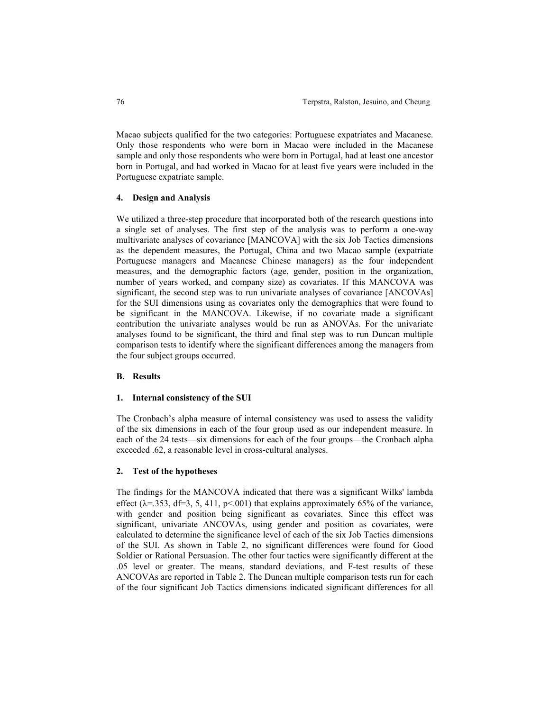Macao subjects qualified for the two categories: Portuguese expatriates and Macanese. Only those respondents who were born in Macao were included in the Macanese sample and only those respondents who were born in Portugal, had at least one ancestor born in Portugal, and had worked in Macao for at least five years were included in the Portuguese expatriate sample.

## **4. Design and Analysis**

We utilized a three-step procedure that incorporated both of the research questions into a single set of analyses. The first step of the analysis was to perform a one-way multivariate analyses of covariance [MANCOVA] with the six Job Tactics dimensions as the dependent measures, the Portugal, China and two Macao sample (expatriate Portuguese managers and Macanese Chinese managers) as the four independent measures, and the demographic factors (age, gender, position in the organization, number of years worked, and company size) as covariates. If this MANCOVA was significant, the second step was to run univariate analyses of covariance [ANCOVAs] for the SUI dimensions using as covariates only the demographics that were found to be significant in the MANCOVA. Likewise, if no covariate made a significant contribution the univariate analyses would be run as ANOVAs. For the univariate analyses found to be significant, the third and final step was to run Duncan multiple comparison tests to identify where the significant differences among the managers from the four subject groups occurred.

## **B. Results**

#### **1. Internal consistency of the SUI**

The Cronbach's alpha measure of internal consistency was used to assess the validity of the six dimensions in each of the four group used as our independent measure. In each of the 24 tests—six dimensions for each of the four groups—the Cronbach alpha exceeded .62, a reasonable level in cross-cultural analyses.

## **2. Test of the hypotheses**

The findings for the MANCOVA indicated that there was a significant Wilks' lambda effect ( $\lambda$ =.353, df=3, 5, 411, p<.001) that explains approximately 65% of the variance, with gender and position being significant as covariates. Since this effect was significant, univariate ANCOVAs, using gender and position as covariates, were calculated to determine the significance level of each of the six Job Tactics dimensions of the SUI. As shown in Table 2, no significant differences were found for Good Soldier or Rational Persuasion. The other four tactics were significantly different at the .05 level or greater. The means, standard deviations, and F-test results of these ANCOVAs are reported in Table 2. The Duncan multiple comparison tests run for each of the four significant Job Tactics dimensions indicated significant differences for all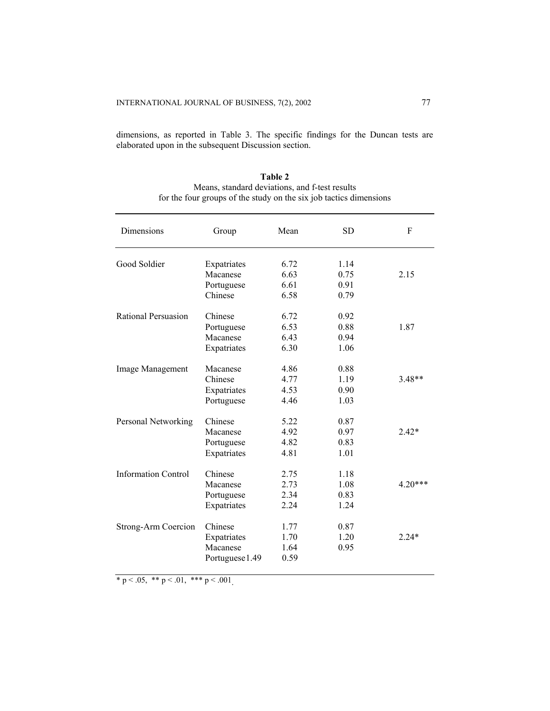dimensions, as reported in Table 3. The specific findings for the Duncan tests are elaborated upon in the subsequent Discussion section.

| Dimensions                 | Group           | Mean | <b>SD</b> | F         |
|----------------------------|-----------------|------|-----------|-----------|
| Good Soldier               | Expatriates     | 6.72 | 1.14      |           |
|                            | Macanese        | 6.63 | 0.75      | 2.15      |
|                            | Portuguese      | 6.61 | 0.91      |           |
|                            | Chinese         | 6.58 | 0.79      |           |
| Rational Persuasion        | Chinese         | 6.72 | 0.92      |           |
|                            | Portuguese      | 6.53 | 0.88      | 1.87      |
|                            | Macanese        | 6.43 | 0.94      |           |
|                            | Expatriates     | 6.30 | 1.06      |           |
| Image Management           | Macanese        | 4.86 | 0.88      |           |
|                            | Chinese         | 4.77 | 1.19      | $3.48**$  |
|                            | Expatriates     | 4.53 | 0.90      |           |
|                            | Portuguese      | 4.46 | 1.03      |           |
| Personal Networking        | Chinese         | 5.22 | 0.87      |           |
|                            | Macanese        | 4.92 | 0.97      | $2.42*$   |
|                            | Portuguese      | 4.82 | 0.83      |           |
|                            | Expatriates     | 4.81 | 1.01      |           |
| <b>Information Control</b> | Chinese         | 2.75 | 1.18      |           |
|                            | Macanese        | 2.73 | 1.08      | $4.20***$ |
|                            | Portuguese      | 2.34 | 0.83      |           |
|                            | Expatriates     | 2.24 | 1.24      |           |
| <b>Strong-Arm Coercion</b> | Chinese         | 1.77 | 0.87      |           |
|                            | Expatriates     | 1.70 | 1.20      | $2.24*$   |
|                            | Macanese        | 1.64 | 0.95      |           |
|                            | Portuguese 1.49 | 0.59 |           |           |

| Table 2                                                            |
|--------------------------------------------------------------------|
| Means, standard deviations, and f-test results                     |
| for the four groups of the study on the six job tactics dimensions |

\* p < .05, \*\* p < .01, \*\*\* p < .001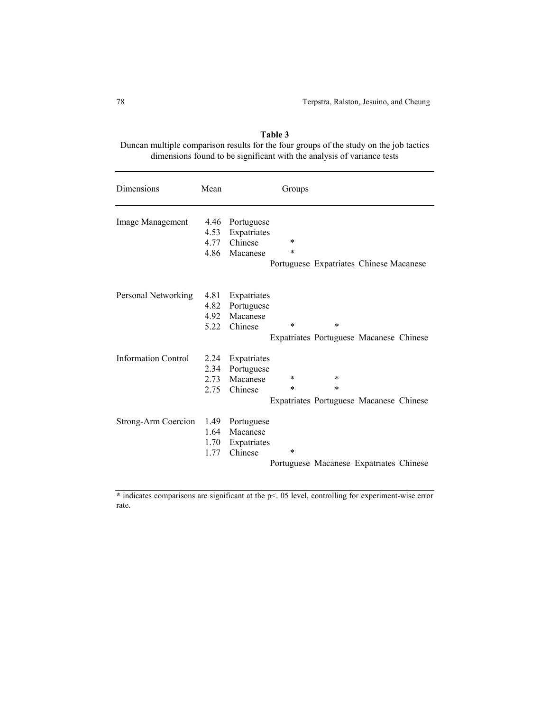| Table 3                                                                                |  |  |  |  |
|----------------------------------------------------------------------------------------|--|--|--|--|
| Duncan multiple comparison results for the four groups of the study on the job tactics |  |  |  |  |
| dimensions found to be significant with the analysis of variance tests                 |  |  |  |  |

| Dimensions                 | Mean                         | Groups                                                                                                                         |
|----------------------------|------------------------------|--------------------------------------------------------------------------------------------------------------------------------|
| Image Management           | 4.46<br>4.53<br>4.77<br>4.86 | Portuguese<br>Expatriates<br>$\ast$<br>Chinese<br>$\ast$<br>Macanese<br>Portuguese Expatriates Chinese Macanese                |
| Personal Networking        | 4.81<br>4.82<br>4.92<br>5.22 | Expatriates<br>Portuguese<br>Macanese<br>$\ast$<br>$\ast$<br>Chinese<br>Expatriates Portuguese Macanese Chinese                |
| <b>Information Control</b> | 2.24<br>2.34<br>2.73<br>2.75 | Expatriates<br>Portuguese<br>$\ast$<br>$\ast$<br>Macanese<br>$\ast$<br>*<br>Chinese<br>Expatriates Portuguese Macanese Chinese |
| Strong-Arm Coercion        | 1.49<br>1.64<br>1.70<br>1.77 | Portuguese<br>Macanese<br>Expatriates<br>$\ast$<br>Chinese<br>Portuguese Macanese Expatriates Chinese                          |

\* indicates comparisons are significant at the p<. 05 level, controlling for experiment-wise error rate.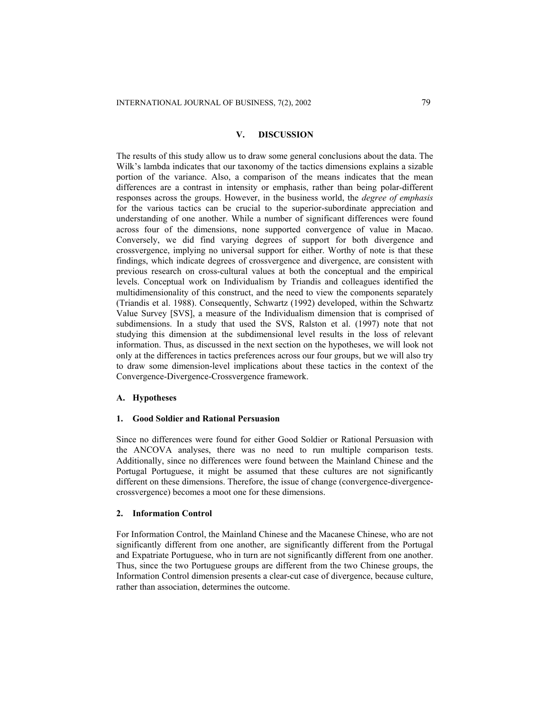## **V. DISCUSSION**

The results of this study allow us to draw some general conclusions about the data. The Wilk's lambda indicates that our taxonomy of the tactics dimensions explains a sizable portion of the variance. Also, a comparison of the means indicates that the mean differences are a contrast in intensity or emphasis, rather than being polar-different responses across the groups. However, in the business world, the *degree of emphasis* for the various tactics can be crucial to the superior-subordinate appreciation and understanding of one another. While a number of significant differences were found across four of the dimensions, none supported convergence of value in Macao. Conversely, we did find varying degrees of support for both divergence and crossvergence, implying no universal support for either. Worthy of note is that these findings, which indicate degrees of crossvergence and divergence, are consistent with previous research on cross-cultural values at both the conceptual and the empirical levels. Conceptual work on Individualism by Triandis and colleagues identified the multidimensionality of this construct, and the need to view the components separately (Triandis et al. 1988). Consequently, Schwartz (1992) developed, within the Schwartz Value Survey [SVS], a measure of the Individualism dimension that is comprised of subdimensions. In a study that used the SVS, Ralston et al. (1997) note that not studying this dimension at the subdimensional level results in the loss of relevant information. Thus, as discussed in the next section on the hypotheses, we will look not only at the differences in tactics preferences across our four groups, but we will also try to draw some dimension-level implications about these tactics in the context of the Convergence-Divergence-Crossvergence framework.

## **A. Hypotheses**

## **1. Good Soldier and Rational Persuasion**

Since no differences were found for either Good Soldier or Rational Persuasion with the ANCOVA analyses, there was no need to run multiple comparison tests. Additionally, since no differences were found between the Mainland Chinese and the Portugal Portuguese, it might be assumed that these cultures are not significantly different on these dimensions. Therefore, the issue of change (convergence-divergencecrossvergence) becomes a moot one for these dimensions.

## **2. Information Control**

For Information Control, the Mainland Chinese and the Macanese Chinese, who are not significantly different from one another, are significantly different from the Portugal and Expatriate Portuguese, who in turn are not significantly different from one another. Thus, since the two Portuguese groups are different from the two Chinese groups, the Information Control dimension presents a clear-cut case of divergence, because culture, rather than association, determines the outcome.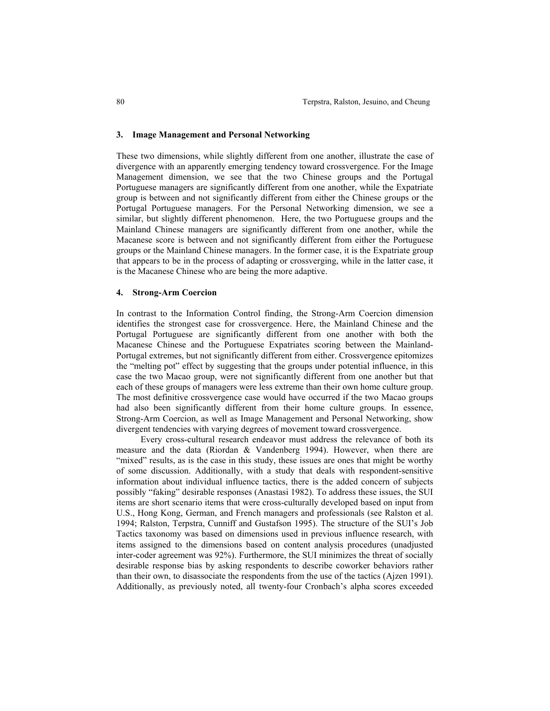## **3. Image Management and Personal Networking**

These two dimensions, while slightly different from one another, illustrate the case of divergence with an apparently emerging tendency toward crossvergence. For the Image Management dimension, we see that the two Chinese groups and the Portugal Portuguese managers are significantly different from one another, while the Expatriate group is between and not significantly different from either the Chinese groups or the Portugal Portuguese managers. For the Personal Networking dimension, we see a similar, but slightly different phenomenon. Here, the two Portuguese groups and the Mainland Chinese managers are significantly different from one another, while the Macanese score is between and not significantly different from either the Portuguese groups or the Mainland Chinese managers. In the former case, it is the Expatriate group that appears to be in the process of adapting or crossverging, while in the latter case, it is the Macanese Chinese who are being the more adaptive.

#### **4. Strong-Arm Coercion**

In contrast to the Information Control finding, the Strong-Arm Coercion dimension identifies the strongest case for crossvergence. Here, the Mainland Chinese and the Portugal Portuguese are significantly different from one another with both the Macanese Chinese and the Portuguese Expatriates scoring between the Mainland-Portugal extremes, but not significantly different from either. Crossvergence epitomizes the "melting pot" effect by suggesting that the groups under potential influence, in this case the two Macao group, were not significantly different from one another but that each of these groups of managers were less extreme than their own home culture group. The most definitive crossvergence case would have occurred if the two Macao groups had also been significantly different from their home culture groups. In essence, Strong-Arm Coercion, as well as Image Management and Personal Networking, show divergent tendencies with varying degrees of movement toward crossvergence.

 Every cross-cultural research endeavor must address the relevance of both its measure and the data (Riordan & Vandenberg 1994). However, when there are "mixed" results, as is the case in this study, these issues are ones that might be worthy of some discussion. Additionally, with a study that deals with respondent-sensitive information about individual influence tactics, there is the added concern of subjects possibly "faking" desirable responses (Anastasi 1982). To address these issues, the SUI items are short scenario items that were cross-culturally developed based on input from U.S., Hong Kong, German, and French managers and professionals (see Ralston et al. 1994; Ralston, Terpstra, Cunniff and Gustafson 1995). The structure of the SUI's Job Tactics taxonomy was based on dimensions used in previous influence research, with items assigned to the dimensions based on content analysis procedures (unadjusted inter-coder agreement was 92%). Furthermore, the SUI minimizes the threat of socially desirable response bias by asking respondents to describe coworker behaviors rather than their own, to disassociate the respondents from the use of the tactics (Ajzen 1991). Additionally, as previously noted, all twenty-four Cronbach's alpha scores exceeded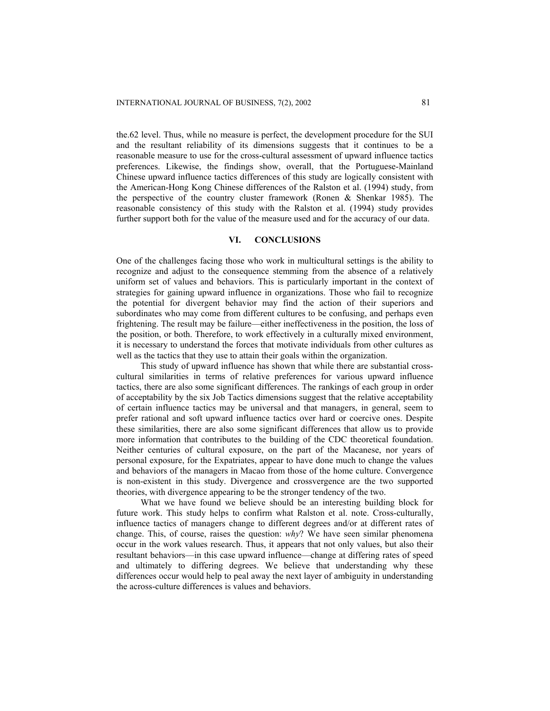the.62 level. Thus, while no measure is perfect, the development procedure for the SUI and the resultant reliability of its dimensions suggests that it continues to be a reasonable measure to use for the cross-cultural assessment of upward influence tactics preferences. Likewise, the findings show, overall, that the Portuguese-Mainland Chinese upward influence tactics differences of this study are logically consistent with the American-Hong Kong Chinese differences of the Ralston et al. (1994) study, from the perspective of the country cluster framework (Ronen & Shenkar 1985). The reasonable consistency of this study with the Ralston et al. (1994) study provides further support both for the value of the measure used and for the accuracy of our data.

# **VI. CONCLUSIONS**

One of the challenges facing those who work in multicultural settings is the ability to recognize and adjust to the consequence stemming from the absence of a relatively uniform set of values and behaviors. This is particularly important in the context of strategies for gaining upward influence in organizations. Those who fail to recognize the potential for divergent behavior may find the action of their superiors and subordinates who may come from different cultures to be confusing, and perhaps even frightening. The result may be failure—either ineffectiveness in the position, the loss of the position, or both. Therefore, to work effectively in a culturally mixed environment, it is necessary to understand the forces that motivate individuals from other cultures as well as the tactics that they use to attain their goals within the organization.

This study of upward influence has shown that while there are substantial crosscultural similarities in terms of relative preferences for various upward influence tactics, there are also some significant differences. The rankings of each group in order of acceptability by the six Job Tactics dimensions suggest that the relative acceptability of certain influence tactics may be universal and that managers, in general, seem to prefer rational and soft upward influence tactics over hard or coercive ones. Despite these similarities, there are also some significant differences that allow us to provide more information that contributes to the building of the CDC theoretical foundation. Neither centuries of cultural exposure, on the part of the Macanese, nor years of personal exposure, for the Expatriates, appear to have done much to change the values and behaviors of the managers in Macao from those of the home culture. Convergence is non-existent in this study. Divergence and crossvergence are the two supported theories, with divergence appearing to be the stronger tendency of the two.

What we have found we believe should be an interesting building block for future work. This study helps to confirm what Ralston et al. note. Cross-culturally, influence tactics of managers change to different degrees and/or at different rates of change. This, of course, raises the question: *why*? We have seen similar phenomena occur in the work values research. Thus, it appears that not only values, but also their resultant behaviors—in this case upward influence—change at differing rates of speed and ultimately to differing degrees. We believe that understanding why these differences occur would help to peal away the next layer of ambiguity in understanding the across-culture differences is values and behaviors.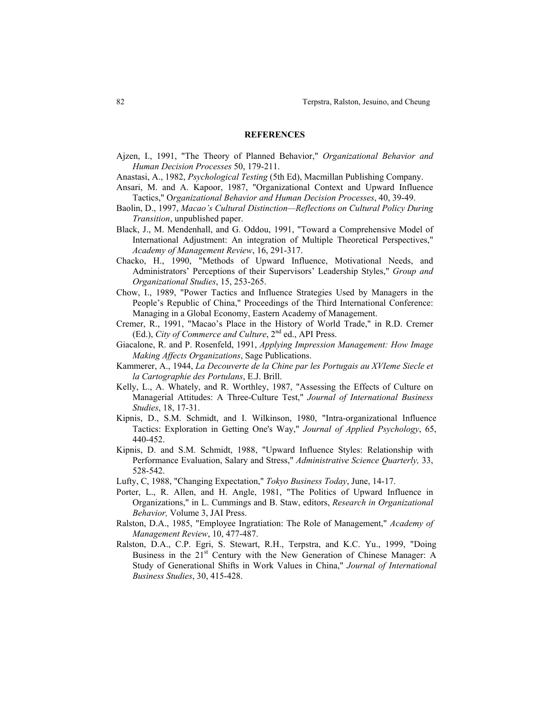#### **REFERENCES**

- Ajzen, I., 1991, "The Theory of Planned Behavior," *Organizational Behavior and Human Decision Processes* 50, 179-211.
- Anastasi, A., 1982, *Psychological Testing* (5th Ed), Macmillan Publishing Company.
- Ansari, M. and A. Kapoor, 1987, "Organizational Context and Upward Influence Tactics," O*rganizational Behavior and Human Decision Processes*, 40, 39-49.
- Baolin, D., 1997, *Macao's Cultural Distinction—Reflections on Cultural Policy During Transition*, unpublished paper.
- Black, J., M. Mendenhall, and G. Oddou, 1991, "Toward a Comprehensive Model of International Adjustment: An integration of Multiple Theoretical Perspectives," *Academy of Management Review*, 16, 291-317.
- Chacko, H., 1990, "Methods of Upward Influence, Motivational Needs, and Administrators' Perceptions of their Supervisors' Leadership Styles," *Group and Organizational Studies*, 15, 253-265.
- Chow, I., 1989, "Power Tactics and Influence Strategies Used by Managers in the People's Republic of China," Proceedings of the Third International Conference: Managing in a Global Economy, Eastern Academy of Management.
- Cremer, R., 1991, "Macao's Place in the History of World Trade," in R.D. Cremer (Ed.), *City of Commerce and Culture*, 2nd ed., API Press.
- Giacalone, R. and P. Rosenfeld, 1991, *Applying Impression Management: How Image Making Affects Organizations*, Sage Publications.
- Kammerer, A., 1944, *La Decouverte de la Chine par les Portugais au XVIeme Siecle et la Cartographie des Portulans*, E.J. Brill.
- Kelly, L., A. Whately, and R. Worthley, 1987, "Assessing the Effects of Culture on Managerial Attitudes: A Three-Culture Test," *Journal of International Business Studies*, 18, 17-31.
- Kipnis, D., S.M. Schmidt, and I. Wilkinson, 1980, "Intra-organizational Influence Tactics: Exploration in Getting One's Way," *Journal of Applied Psychology*, 65, 440-452.
- Kipnis, D. and S.M. Schmidt, 1988, "Upward Influence Styles: Relationship with Performance Evaluation, Salary and Stress," *Administrative Science Quarterly,* 33, 528-542.
- Lufty, C, 1988, "Changing Expectation," *Tokyo Business Today*, June, 14-17.
- Porter, L., R. Allen, and H. Angle, 1981, "The Politics of Upward Influence in Organizations," in L. Cummings and B. Staw, editors, *Research in Organizational Behavior,* Volume 3, JAI Press.
- Ralston, D.A., 1985, "Employee Ingratiation: The Role of Management," *Academy of Management Review*, 10, 477-487.
- Ralston, D.A., C.P. Egri, S. Stewart, R.H., Terpstra, and K.C. Yu., 1999, "Doing Business in the 21<sup>st</sup> Century with the New Generation of Chinese Manager: A Study of Generational Shifts in Work Values in China," *Journal of International Business Studies*, 30, 415-428.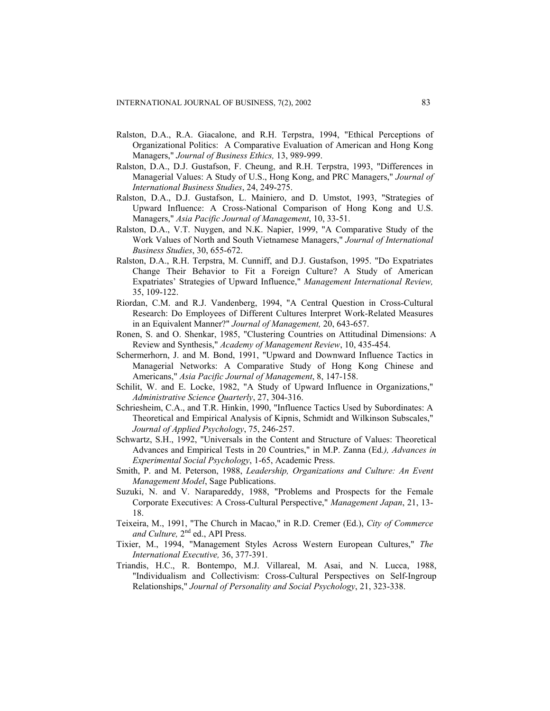- Ralston, D.A., R.A. Giacalone, and R.H. Terpstra, 1994, "Ethical Perceptions of Organizational Politics: A Comparative Evaluation of American and Hong Kong Managers," *Journal of Business Ethics,* 13, 989-999.
- Ralston, D.A., D.J. Gustafson, F. Cheung, and R.H. Terpstra, 1993, "Differences in Managerial Values: A Study of U.S., Hong Kong, and PRC Managers," *Journal of International Business Studies*, 24, 249-275.
- Ralston, D.A., D.J. Gustafson, L. Mainiero, and D. Umstot, 1993, "Strategies of Upward Influence: A Cross-National Comparison of Hong Kong and U.S. Managers," *Asia Pacific Journal of Management*, 10, 33-51.
- Ralston, D.A., V.T. Nuygen, and N.K. Napier, 1999, "A Comparative Study of the Work Values of North and South Vietnamese Managers," *Journal of International Business Studies*, 30, 655-672.
- Ralston, D.A., R.H. Terpstra, M. Cunniff, and D.J. Gustafson, 1995. "Do Expatriates Change Their Behavior to Fit a Foreign Culture? A Study of American Expatriates' Strategies of Upward Influence," *Management International Review,* 35, 109-122.
- Riordan, C.M. and R.J. Vandenberg, 1994, "A Central Question in Cross-Cultural Research: Do Employees of Different Cultures Interpret Work-Related Measures in an Equivalent Manner?" *Journal of Management,* 20, 643-657.
- Ronen, S. and O. Shenkar, 1985, "Clustering Countries on Attitudinal Dimensions: A Review and Synthesis," *Academy of Management Review*, 10, 435-454.
- Schermerhorn, J. and M. Bond, 1991, "Upward and Downward Influence Tactics in Managerial Networks: A Comparative Study of Hong Kong Chinese and Americans," *Asia Pacific Journal of Management*, 8, 147-158.
- Schilit, W. and E. Locke, 1982, "A Study of Upward Influence in Organizations," *Administrative Science Quarterly*, 27, 304-316.
- Schriesheim, C.A., and T.R. Hinkin, 1990, "Influence Tactics Used by Subordinates: A Theoretical and Empirical Analysis of Kipnis, Schmidt and Wilkinson Subscales," *Journal of Applied Psychology*, 75, 246-257.
- Schwartz, S.H., 1992, "Universals in the Content and Structure of Values: Theoretical Advances and Empirical Tests in 20 Countries," in M.P. Zanna (Ed*.), Advances in Experimental Social Psychology*, 1-65, Academic Press.
- Smith, P. and M. Peterson, 1988, *Leadership, Organizations and Culture: An Event Management Model*, Sage Publications.
- Suzuki, N. and V. Narapareddy, 1988, "Problems and Prospects for the Female Corporate Executives: A Cross-Cultural Perspective," *Management Japan*, 21, 13- 18.
- Teixeira, M., 1991, "The Church in Macao," in R.D. Cremer (Ed.), *City of Commerce and Culture,* 2nd ed., API Press.
- Tixier, M., 1994, "Management Styles Across Western European Cultures," *The International Executive,* 36, 377-391.
- Triandis, H.C., R. Bontempo, M.J. Villareal, M. Asai, and N. Lucca, 1988, "Individualism and Collectivism: Cross-Cultural Perspectives on Self-Ingroup Relationships," *Journal of Personality and Social Psychology*, 21, 323-338.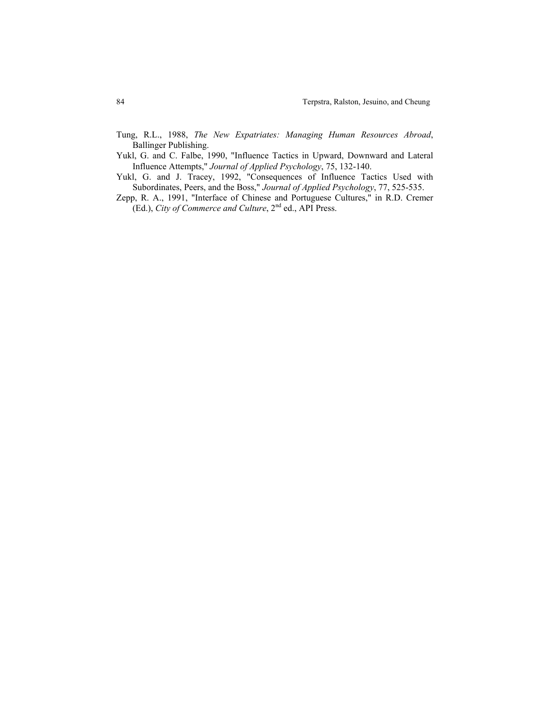- Tung, R.L., 1988, *The New Expatriates: Managing Human Resources Abroad*, Ballinger Publishing.
- Yukl, G. and C. Falbe, 1990, "Influence Tactics in Upward, Downward and Lateral Influence Attempts," *Journal of Applied Psychology*, 75, 132-140.
- Yukl, G. and J. Tracey, 1992, "Consequences of Influence Tactics Used with Subordinates, Peers, and the Boss," *Journal of Applied Psychology*, 77, 525-535.
- Zepp, R. A., 1991, "Interface of Chinese and Portuguese Cultures," in R.D. Cremer (Ed.), *City of Commerce and Culture*, 2nd ed., API Press.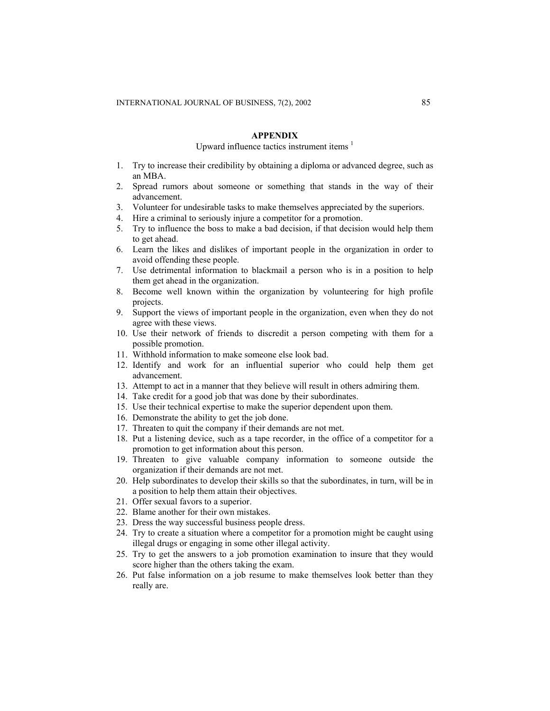# **APPENDIX**

# Upward influence tactics instrument items  $<sup>1</sup>$ </sup>

- 1. Try to increase their credibility by obtaining a diploma or advanced degree, such as an MBA.
- 2. Spread rumors about someone or something that stands in the way of their advancement.
- 3. Volunteer for undesirable tasks to make themselves appreciated by the superiors.
- 4. Hire a criminal to seriously injure a competitor for a promotion.
- 5. Try to influence the boss to make a bad decision, if that decision would help them to get ahead.
- 6. Learn the likes and dislikes of important people in the organization in order to avoid offending these people.
- 7. Use detrimental information to blackmail a person who is in a position to help them get ahead in the organization.
- 8. Become well known within the organization by volunteering for high profile projects.
- 9. Support the views of important people in the organization, even when they do not agree with these views.
- 10. Use their network of friends to discredit a person competing with them for a possible promotion.
- 11. Withhold information to make someone else look bad.
- 12. Identify and work for an influential superior who could help them get advancement.
- 13. Attempt to act in a manner that they believe will result in others admiring them.
- 14. Take credit for a good job that was done by their subordinates.
- 15. Use their technical expertise to make the superior dependent upon them.
- 16. Demonstrate the ability to get the job done.
- 17. Threaten to quit the company if their demands are not met.
- 18. Put a listening device, such as a tape recorder, in the office of a competitor for a promotion to get information about this person.
- 19. Threaten to give valuable company information to someone outside the organization if their demands are not met.
- 20. Help subordinates to develop their skills so that the subordinates, in turn, will be in a position to help them attain their objectives.
- 21. Offer sexual favors to a superior.
- 22. Blame another for their own mistakes.
- 23. Dress the way successful business people dress.
- 24. Try to create a situation where a competitor for a promotion might be caught using illegal drugs or engaging in some other illegal activity.
- 25. Try to get the answers to a job promotion examination to insure that they would score higher than the others taking the exam.
- 26. Put false information on a job resume to make themselves look better than they really are.